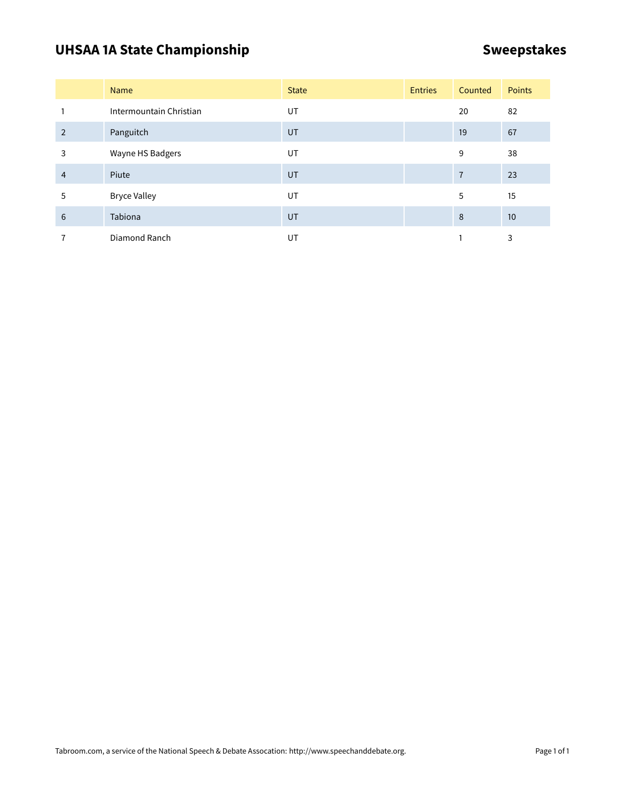# UHSAA 1A State Championship **SWEEP 3 ASSESS** Sweepstakes

|                | <b>Name</b>             | <b>State</b> | <b>Entries</b> | Counted        | <b>Points</b> |
|----------------|-------------------------|--------------|----------------|----------------|---------------|
|                | Intermountain Christian | <b>UT</b>    |                | 20             | 82            |
| $\overline{2}$ | Panguitch               | UT           |                | 19             | 67            |
| 3              | Wayne HS Badgers        | UT           |                | 9              | 38            |
| $\overline{4}$ | Piute                   | UT           |                | $\overline{7}$ | 23            |
| 5              | <b>Bryce Valley</b>     | UT           |                | 5              | 15            |
| 6              | Tabiona                 | UT           |                | 8              | 10            |
|                | Diamond Ranch           | UT           |                |                | 3             |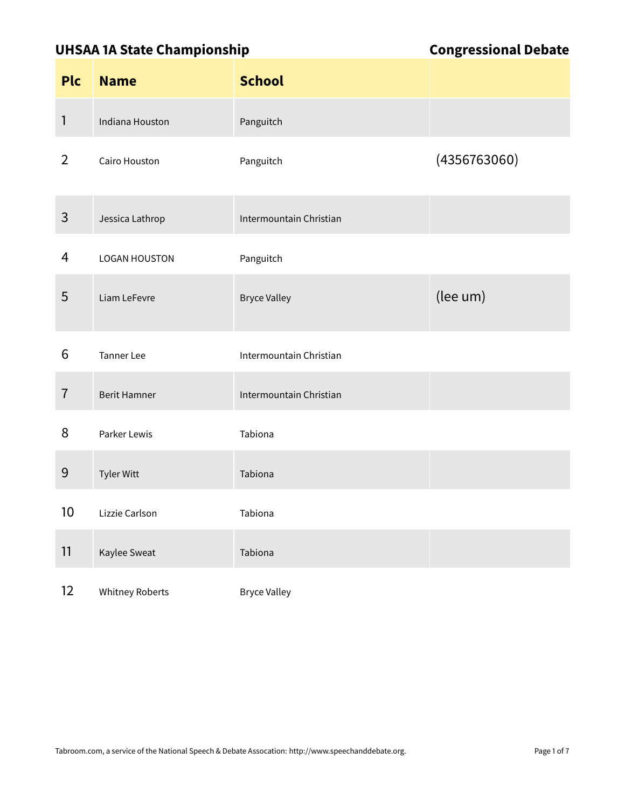### UHSAA 1A State Championship **Congressional Debate**

| <b>Plc</b>        | <b>Name</b>            | <b>School</b>           |              |
|-------------------|------------------------|-------------------------|--------------|
| 1                 | Indiana Houston        | Panguitch               |              |
| $\overline{2}$    | Cairo Houston          | Panguitch               | (4356763060) |
| 3                 | Jessica Lathrop        | Intermountain Christian |              |
| 4                 | <b>LOGAN HOUSTON</b>   | Panguitch               |              |
| 5                 | Liam LeFevre           | <b>Bryce Valley</b>     | (lee um)     |
| 6                 | <b>Tanner Lee</b>      | Intermountain Christian |              |
| $\overline{1}$    | <b>Berit Hamner</b>    | Intermountain Christian |              |
| 8                 | Parker Lewis           | Tabiona                 |              |
| 9                 | Tyler Witt             | Tabiona                 |              |
| 10                | Lizzie Carlson         | Tabiona                 |              |
| 11                | Kaylee Sweat           | Tabiona                 |              |
| $12 \overline{ }$ | <b>Whitney Roberts</b> | <b>Bryce Valley</b>     |              |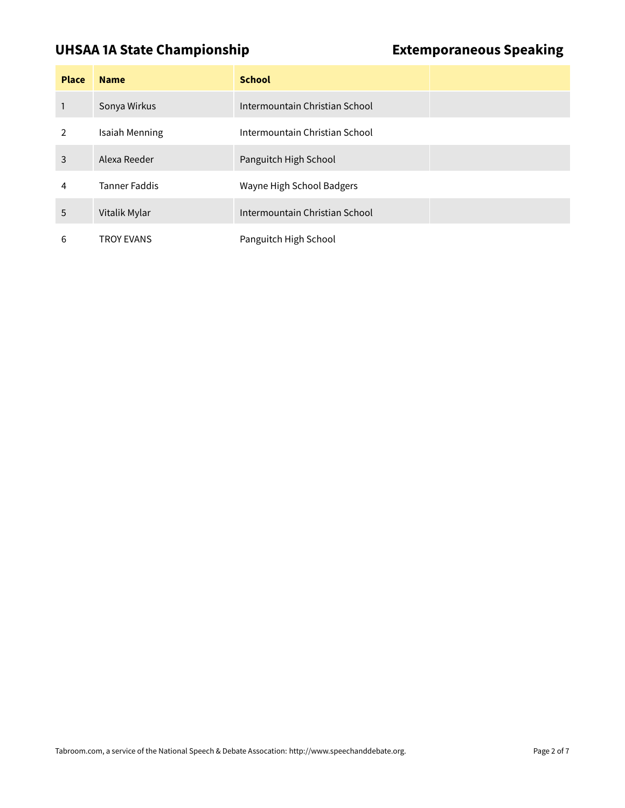### **UHSAA 1A State Championship Extemporaneous Speaking**

| <b>Place</b>  | <b>Name</b>           | <b>School</b>                  |
|---------------|-----------------------|--------------------------------|
|               | Sonya Wirkus          | Intermountain Christian School |
| $\mathcal{P}$ | <b>Isaiah Menning</b> | Intermountain Christian School |
| 3             | Alexa Reeder          | Panguitch High School          |
| 4             | <b>Tanner Faddis</b>  | Wayne High School Badgers      |
| 5             | Vitalik Mylar         | Intermountain Christian School |
| 6             | <b>TROY EVANS</b>     | Panguitch High School          |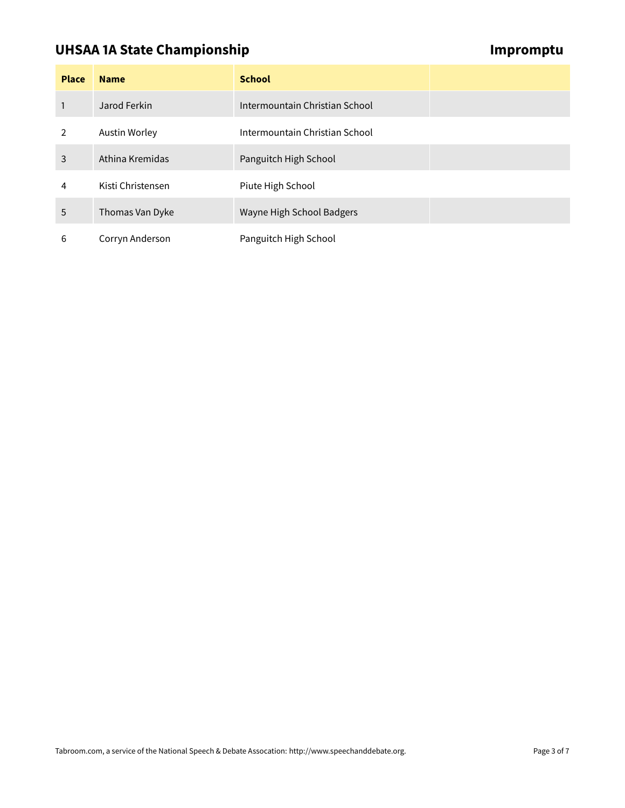# **UHSAA 1A State Championship Impromptu Championship**

| <b>Place</b>  | <b>Name</b>       | <b>School</b>                  |
|---------------|-------------------|--------------------------------|
|               | Jarod Ferkin      | Intermountain Christian School |
| $\mathcal{P}$ | Austin Worley     | Intermountain Christian School |
| 3             | Athina Kremidas   | Panguitch High School          |
| 4             | Kisti Christensen | Piute High School              |
| 5             | Thomas Van Dyke   | Wayne High School Badgers      |
| 6             | Corryn Anderson   | Panguitch High School          |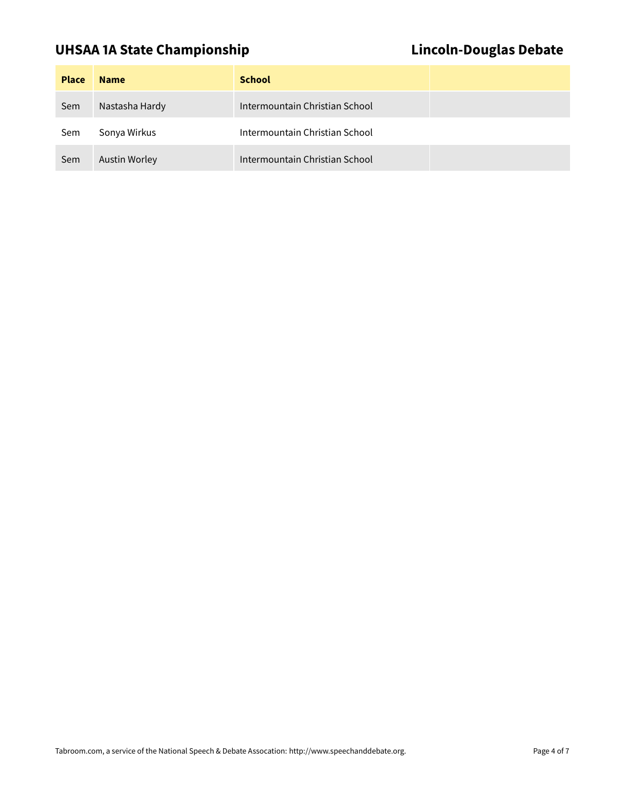# UHSAA 1A State Championship **Lincoln-Douglas Debate**

| <b>Place</b> | <b>Name</b>          | <b>School</b>                  |  |
|--------------|----------------------|--------------------------------|--|
| Sem          | Nastasha Hardy       | Intermountain Christian School |  |
| Sem          | Sonya Wirkus         | Intermountain Christian School |  |
| Sem          | <b>Austin Worley</b> | Intermountain Christian School |  |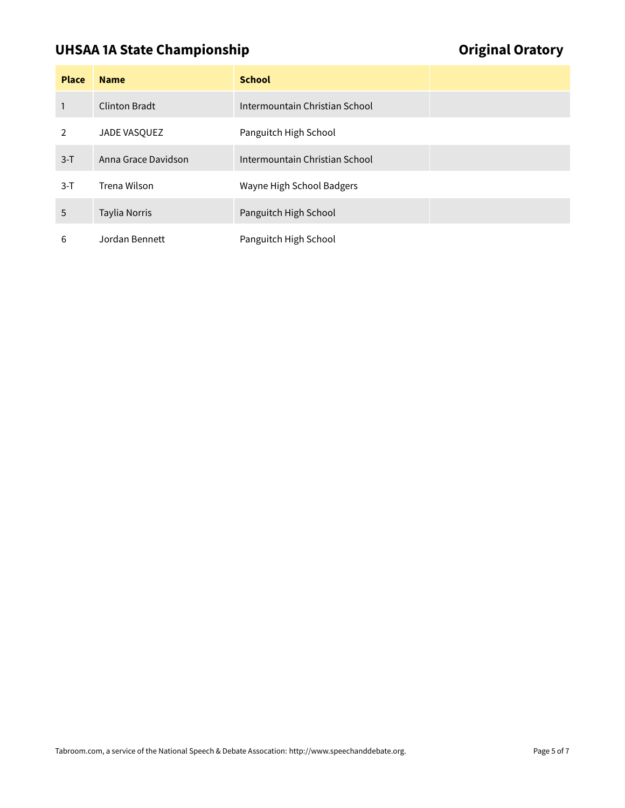# UHSAA 1A State Championship **Container and Container Container Container Container Container Container Container**

| <b>Place</b> | <b>Name</b>          | <b>School</b>                  |
|--------------|----------------------|--------------------------------|
| 1            | <b>Clinton Bradt</b> | Intermountain Christian School |
| 2            | JADE VASQUEZ         | Panguitch High School          |
| $3-T$        | Anna Grace Davidson  | Intermountain Christian School |
| $3-T$        | Trena Wilson         | Wayne High School Badgers      |
| 5            | <b>Taylia Norris</b> | Panguitch High School          |
| 6            | Jordan Bennett       | Panguitch High School          |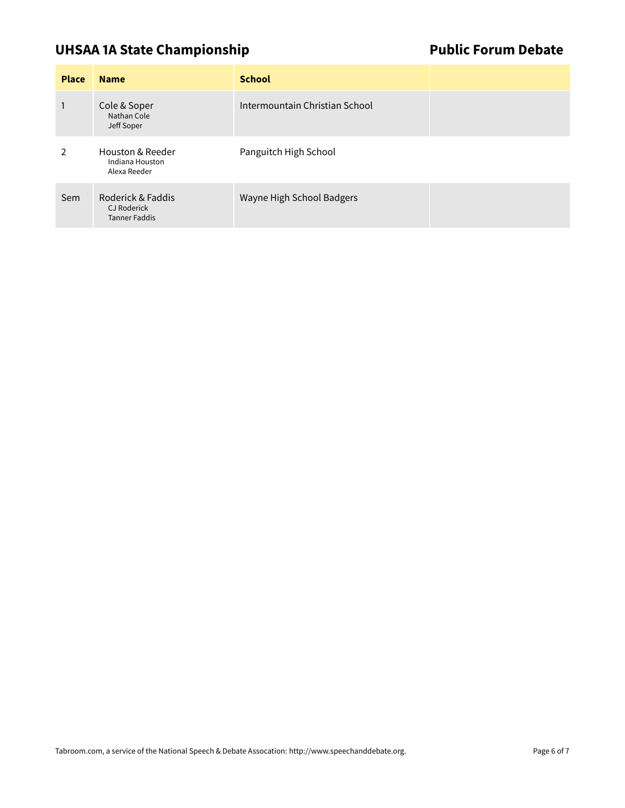# UHSAA 1A State Championship **Public Forum Debate**

| <b>Place</b>  | <b>Name</b>                                                     | <b>School</b>                  |  |
|---------------|-----------------------------------------------------------------|--------------------------------|--|
|               | Cole & Soper<br>Nathan Cole<br>Jeff Soper                       | Intermountain Christian School |  |
| $\mathcal{P}$ | Houston & Reeder<br>Indiana Houston<br>Alexa Reeder             | Panguitch High School          |  |
| Sem           | Roderick & Faddis<br><b>CJ Roderick</b><br><b>Tanner Faddis</b> | Wayne High School Badgers      |  |